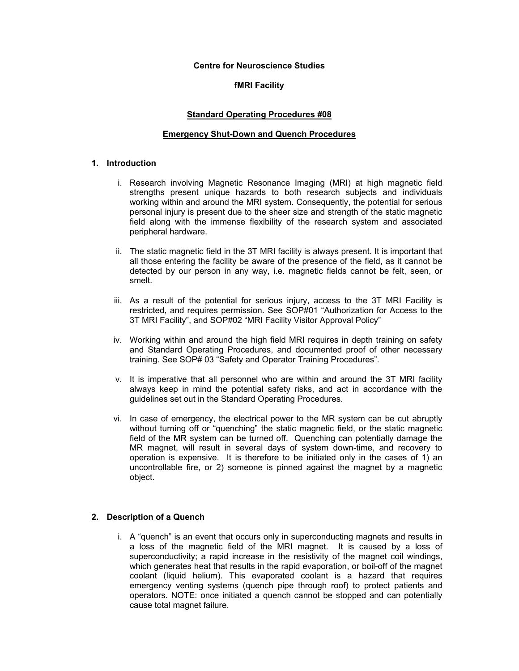### **Centre for Neuroscience Studies**

## **fMRI Facility**

## **Standard Operating Procedures #08**

### **Emergency Shut-Down and Quench Procedures**

### **1. Introduction**

- i. Research involving Magnetic Resonance Imaging (MRI) at high magnetic field strengths present unique hazards to both research subjects and individuals working within and around the MRI system. Consequently, the potential for serious personal injury is present due to the sheer size and strength of the static magnetic field along with the immense flexibility of the research system and associated peripheral hardware.
- ii. The static magnetic field in the 3T MRI facility is always present. It is important that all those entering the facility be aware of the presence of the field, as it cannot be detected by our person in any way, i.e. magnetic fields cannot be felt, seen, or smelt.
- iii. As a result of the potential for serious injury, access to the 3T MRI Facility is restricted, and requires permission. See SOP#01 "Authorization for Access to the 3T MRI Facility", and SOP#02 "MRI Facility Visitor Approval Policy"
- iv. Working within and around the high field MRI requires in depth training on safety and Standard Operating Procedures, and documented proof of other necessary training. See SOP# 03 "Safety and Operator Training Procedures".
- v. It is imperative that all personnel who are within and around the 3T MRI facility always keep in mind the potential safety risks, and act in accordance with the guidelines set out in the Standard Operating Procedures.
- vi. In case of emergency, the electrical power to the MR system can be cut abruptly without turning off or "quenching" the static magnetic field, or the static magnetic field of the MR system can be turned off. Quenching can potentially damage the MR magnet, will result in several days of system down-time, and recovery to operation is expensive. It is therefore to be initiated only in the cases of 1) an uncontrollable fire, or 2) someone is pinned against the magnet by a magnetic object.

# **2. Description of a Quench**

i. A "quench" is an event that occurs only in superconducting magnets and results in a loss of the magnetic field of the MRI magnet. It is caused by a loss of superconductivity; a rapid increase in the resistivity of the magnet coil windings, which generates heat that results in the rapid evaporation, or boil-off of the magnet coolant (liquid helium). This evaporated coolant is a hazard that requires emergency venting systems (quench pipe through roof) to protect patients and operators. NOTE: once initiated a quench cannot be stopped and can potentially cause total magnet failure.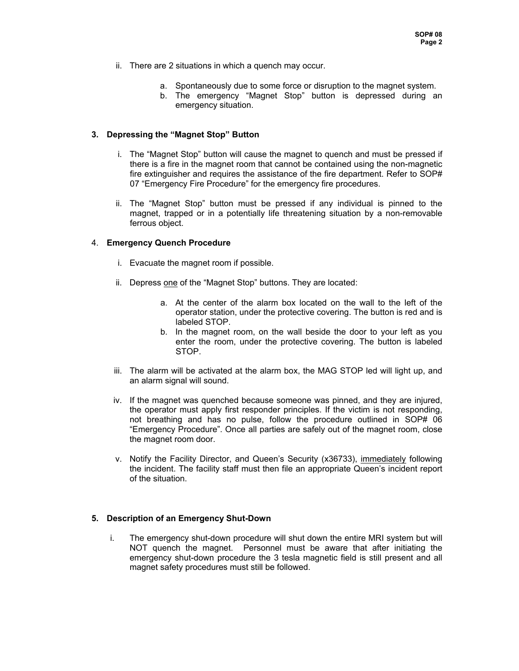- ii. There are 2 situations in which a quench may occur.
	- a. Spontaneously due to some force or disruption to the magnet system.
	- b. The emergency "Magnet Stop" button is depressed during an emergency situation.

## **3. Depressing the "Magnet Stop" Button**

- i. The "Magnet Stop" button will cause the magnet to quench and must be pressed if there is a fire in the magnet room that cannot be contained using the non-magnetic fire extinguisher and requires the assistance of the fire department. Refer to SOP# 07 "Emergency Fire Procedure" for the emergency fire procedures.
- ii. The "Magnet Stop" button must be pressed if any individual is pinned to the magnet, trapped or in a potentially life threatening situation by a non-removable ferrous object.

## 4. **Emergency Quench Procedure**

- i. Evacuate the magnet room if possible.
- ii. Depress one of the "Magnet Stop" buttons. They are located:
	- a. At the center of the alarm box located on the wall to the left of the operator station, under the protective covering. The button is red and is labeled STOP.
	- b. In the magnet room, on the wall beside the door to your left as you enter the room, under the protective covering. The button is labeled STOP.
- iii. The alarm will be activated at the alarm box, the MAG STOP led will light up, and an alarm signal will sound.
- iv. If the magnet was quenched because someone was pinned, and they are injured, the operator must apply first responder principles. If the victim is not responding, not breathing and has no pulse, follow the procedure outlined in SOP# 06 "Emergency Procedure". Once all parties are safely out of the magnet room, close the magnet room door.
- v. Notify the Facility Director, and Queen's Security (x36733), immediately following the incident. The facility staff must then file an appropriate Queen's incident report of the situation.

# **5. Description of an Emergency Shut-Down**

i. The emergency shut-down procedure will shut down the entire MRI system but will NOT quench the magnet. Personnel must be aware that after initiating the emergency shut-down procedure the 3 tesla magnetic field is still present and all magnet safety procedures must still be followed.